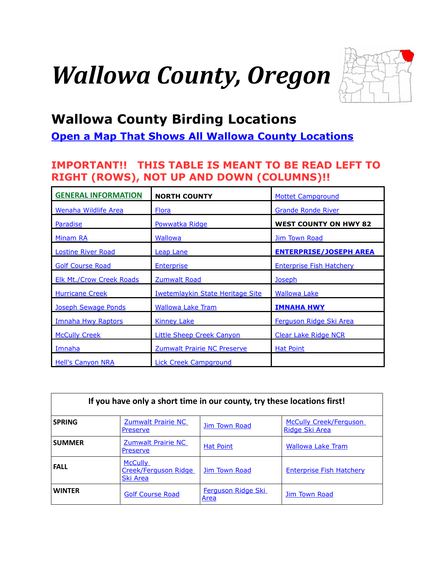# <span id="page-0-1"></span>*Wallowa County, Oregon*

<span id="page-0-0"></span>

# **Wallowa County Birding Locations**

**[Open a Map That Shows All Wallowa County Locations](https://www.google.com/maps/d/edit?mid=zVl1oTDALjf4.kWzsSCenGHcg&usp=sharing)**

## **IMPORTANT!! THIS TABLE IS MEANT TO BE READ LEFT TO RIGHT (ROWS), NOT UP AND DOWN (COLUMNS)!!**

| <b>GENERAL INFORMATION</b>      | <b>NORTH COUNTY</b>                     | <b>Mottet Campground</b>        |
|---------------------------------|-----------------------------------------|---------------------------------|
| Wenaha Wildlife Area            | <b>Flora</b>                            | <b>Grande Ronde River</b>       |
| <b>Paradise</b>                 | Powwatka Ridge                          | <b>WEST COUNTY ON HWY 82</b>    |
| Minam RA                        | <b>Wallowa</b>                          | <b>Jim Town Road</b>            |
| <b>Lostine River Road</b>       | <b>Leap Lane</b>                        | <b>ENTERPRISE/JOSEPH AREA</b>   |
| <b>Golf Course Road</b>         | <b>Enterprise</b>                       | <b>Enterprise Fish Hatchery</b> |
| <b>Elk Mt./Crow Creek Roads</b> | Zumwalt Road                            | <b>Joseph</b>                   |
| <b>Hurricane Creek</b>          | <b>Iwetemlaykin State Heritage Site</b> | <b>Wallowa Lake</b>             |
| Joseph Sewage Ponds             | <b>Wallowa Lake Tram</b>                | <b>IMNAHA HWY</b>               |
| <b>Imnaha Hwy Raptors</b>       | <b>Kinney Lake</b>                      | Ferguson Ridge Ski Area         |
| <b>McCully Creek</b>            | <b>Little Sheep Creek Canyon</b>        | <b>Clear Lake Ridge NCR</b>     |
| Imnaha                          | Zumwalt Prairie NC Preserve             | <b>Hat Point</b>                |
| <b>Hell's Canyon NRA</b>        | <b>Lick Creek Campground</b>            |                                 |

| If you have only a short time in our county, try these locations first! |                                                    |                                   |                                                 |  |
|-------------------------------------------------------------------------|----------------------------------------------------|-----------------------------------|-------------------------------------------------|--|
| <b>SPRING</b>                                                           | Zumwalt Prairie NC<br>Preserve                     | Jim Town Road                     | <b>McCully Creek/Ferguson</b><br>Ridge Ski Area |  |
| <b>SUMMER</b>                                                           | <b>Zumwalt Prairie NC</b><br>Preserve              | <b>Hat Point</b>                  | <b>Wallowa Lake Tram</b>                        |  |
| <b>FALL</b>                                                             | <b>McCully</b><br>Creek/Ferguson Ridge<br>Ski Area | Jim Town Road                     | <b>Enterprise Fish Hatchery</b>                 |  |
| <b>WINTER</b>                                                           | <b>Golf Course Road</b>                            | <b>Ferguson Ridge Ski</b><br>Area | Jim Town Road                                   |  |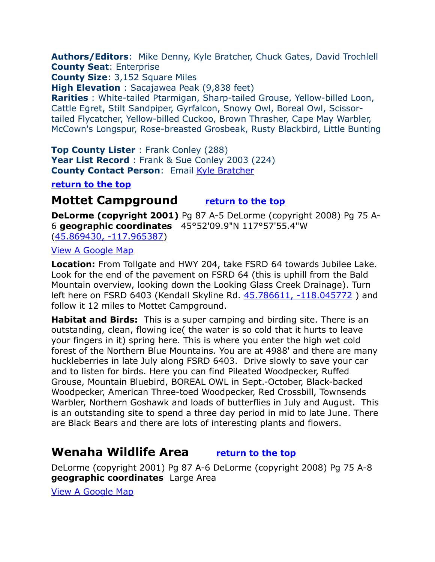<span id="page-1-2"></span>**Authors/Editors**: Mike Denny, Kyle Bratcher, Chuck Gates, David Trochlell **County Seat**: Enterprise

**County Size**: 3,152 Square Miles

**High Elevation** : Sacajawea Peak (9,838 feet)

**Rarities** : White-tailed Ptarmigan, Sharp-tailed Grouse, Yellow-billed Loon, Cattle Egret, Stilt Sandpiper, Gyrfalcon, Snowy Owl, Boreal Owl, Scissortailed Flycatcher, Yellow-billed Cuckoo, Brown Thrasher, Cape May Warbler, McCown's Longspur, Rose-breasted Grosbeak, Rusty Blackbird, Little Bunting

**Top County Lister** : Frank Conley (288) **Year List Record** : Frank & Sue Conley 2003 (224) **County Contact Person: Email [Kyle Bratcher](mailto:Kyle.W.Bratcher@state.or.us)** 

**[return to the top](#page-0-0)**

## <span id="page-1-1"></span>**Mottet Campground [return to the top](#page-0-0)**

**DeLorme (copyright 2001)** Pg 87 A-5 DeLorme (copyright 2008) Pg 75 A-6 **geographic coordinates** 45°52'09.9"N 117°57'55.4"W [\(45.869430, -117.965387\)](https://www.google.com/maps/place/45%C2%B052)

#### [View A Google Map](http://maps.google.com/maps/ms?hl=en&ie=UTF8&msa=0&msid=108036481085398338899.00047900d408ec01786c6&ll=45.848891,-117.295532&spn=0.821687,2.108002&z=10)

**Location:** From Tollgate and HWY 204, take FSRD 64 towards Jubilee Lake. Look for the end of the pavement on FSRD 64 (this is uphill from the Bald Mountain overview, looking down the Looking Glass Creek Drainage). Turn left here on FSRD 6403 (Kendall Skyline Rd. 45.786611, -118.045772) and follow it 12 miles to Mottet Campground.

**Habitat and Birds:** This is a super camping and birding site. There is an outstanding, clean, flowing ice( the water is so cold that it hurts to leave your fingers in it) spring here. This is where you enter the high wet cold forest of the Northern Blue Mountains. You are at 4988' and there are many huckleberries in late July along FSRD 6403. Drive slowly to save your car and to listen for birds. Here you can find Pileated Woodpecker, Ruffed Grouse, Mountain Bluebird, BOREAL OWL in Sept.-October, Black-backed Woodpecker, American Three-toed Woodpecker, Red Crossbill, Townsends Warbler, Northern Goshawk and loads of butterflies in July and August. This is an outstanding site to spend a three day period in mid to late June. There are Black Bears and there are lots of interesting plants and flowers.

# <span id="page-1-0"></span>**Wenaha Wildlife Area [return to the top](#page-0-0)**

DeLorme (copyright 2001) Pg 87 A-6 DeLorme (copyright 2008) Pg 75 A-8 **geographic coordinates** Large Area

[View A Google Map](http://maps.google.com/maps/ms?hl=en&ie=UTF8&msa=0&msid=108036481085398338899.00047900d408ec01786c6&ll=45.848891,-117.295532&spn=0.821687,2.108002&z=10)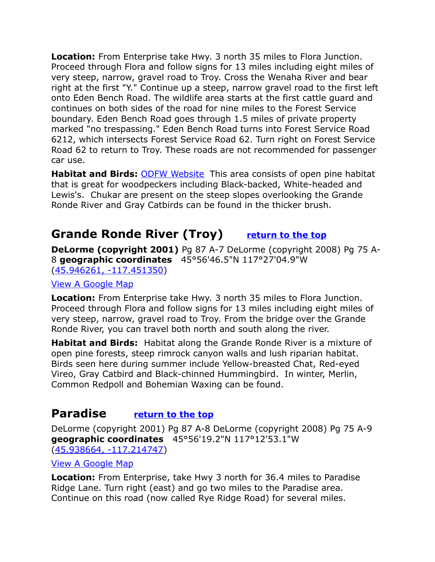**Location:** From Enterprise take Hwy. 3 north 35 miles to Flora Junction. Proceed through Flora and follow signs for 13 miles including eight miles of very steep, narrow, gravel road to Troy. Cross the Wenaha River and bear right at the first "Y." Continue up a steep, narrow gravel road to the first left onto Eden Bench Road. The wildlife area starts at the first cattle guard and continues on both sides of the road for nine miles to the Forest Service boundary. Eden Bench Road goes through 1.5 miles of private property marked "no trespassing." Eden Bench Road turns into Forest Service Road 6212, which intersects Forest Service Road 62. Turn right on Forest Service Road 62 to return to Troy. These roads are not recommended for passenger car use.

**Habitat and Birds:** [ODFW Website](http://www.dfw.state.or.us/resources/visitors/wenaha_wildlife_area.asp) This area consists of open pine habitat that is great for woodpeckers including Black-backed, White-headed and Lewis's. Chukar are present on the steep slopes overlooking the Grande Ronde River and Gray Catbirds can be found in the thicker brush.

# <span id="page-2-1"></span>**Grande Ronde River (Troy) [return to the top](#page-0-0)**

**DeLorme (copyright 2001)** Pg 87 A-7 DeLorme (copyright 2008) Pg 75 A-8 **geographic coordinates** 45°56'46.5"N 117°27'04.9"W [\(45.946261, -117.451350\)](https://www.google.com/maps/place/45%C2%B056)

#### [View A Google Map](http://maps.google.com/maps/ms?hl=en&ie=UTF8&msa=0&msid=108036481085398338899.00047900d408ec01786c6&ll=45.848891,-117.295532&spn=0.821687,2.108002&z=10)

**Location:** From Enterprise take Hwy. 3 north 35 miles to Flora Junction. Proceed through Flora and follow signs for 13 miles including eight miles of very steep, narrow, gravel road to Troy. From the bridge over the Grande Ronde River, you can travel both north and south along the river.

**Habitat and Birds:** Habitat along the Grande Ronde River is a mixture of open pine forests, steep rimrock canyon walls and lush riparian habitat. Birds seen here during summer include Yellow-breasted Chat, Red-eyed Vireo, Gray Catbird and Black-chinned Hummingbird. In winter, Merlin, Common Redpoll and Bohemian Waxing can be found.

## <span id="page-2-0"></span>**Paradise [return to the top](#page-0-0)**

DeLorme (copyright 2001) Pg 87 A-8 DeLorme (copyright 2008) Pg 75 A-9 **geographic coordinates** 45°56'19.2"N 117°12'53.1"W [\(45.938664, -117.214747\)](https://www.google.com/maps/place/45%C2%B056)

#### [View A Google Map](http://maps.google.com/maps/ms?hl=en&ie=UTF8&msa=0&msid=108036481085398338899.00047900d408ec01786c6&ll=45.848891,-117.295532&spn=0.821687,2.108002&z=10)

**Location:** From Enterprise, take Hwy 3 north for 36.4 miles to Paradise Ridge Lane. Turn right (east) and go two miles to the Paradise area. Continue on this road (now called Rye Ridge Road) for several miles.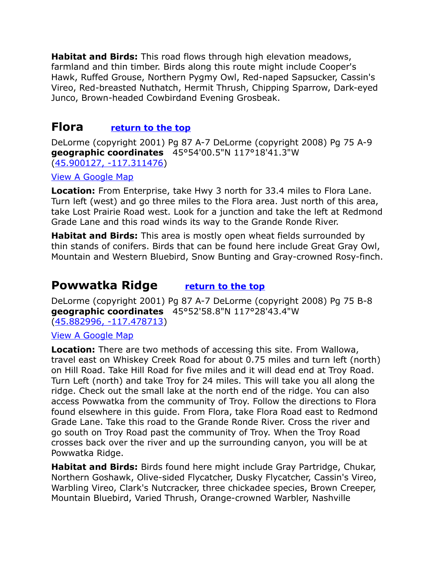**Habitat and Birds:** This road flows through high elevation meadows, farmland and thin timber. Birds along this route might include Cooper's Hawk, Ruffed Grouse, Northern Pygmy Owl, Red-naped Sapsucker, Cassin's Vireo, Red-breasted Nuthatch, Hermit Thrush, Chipping Sparrow, Dark-eyed Junco, Brown-headed Cowbirdand Evening Grosbeak.

## <span id="page-3-1"></span>**Flora [return to the top](#page-0-0)**

DeLorme (copyright 2001) Pg 87 A-7 DeLorme (copyright 2008) Pg 75 A-9 **geographic coordinates** 45°54'00.5"N 117°18'41.3"W [\(45.900127, -117.311476\)](https://www.google.com/maps/place/45%C2%B054)

[View A Google Map](http://maps.google.com/maps/ms?hl=en&ie=UTF8&msa=0&msid=108036481085398338899.00047900d408ec01786c6&ll=45.848891,-117.295532&spn=0.821687,2.108002&z=10)

**Location:** From Enterprise, take Hwy 3 north for 33.4 miles to Flora Lane. Turn left (west) and go three miles to the Flora area. Just north of this area, take Lost Prairie Road west. Look for a junction and take the left at Redmond Grade Lane and this road winds its way to the Grande Ronde River.

**Habitat and Birds:** This area is mostly open wheat fields surrounded by thin stands of conifers. Birds that can be found here include Great Gray Owl, Mountain and Western Bluebird, Snow Bunting and Gray-crowned Rosy-finch.

# <span id="page-3-0"></span>**Powwatka Ridge [return to the top](#page-0-0)**

DeLorme (copyright 2001) Pg 87 A-7 DeLorme (copyright 2008) Pg 75 B-8 **geographic coordinates** 45°52'58.8"N 117°28'43.4"W [\(45.882996, -117.478713\)](https://www.google.com/maps/place/45%C2%B052)

[View A Google Map](http://maps.google.com/maps/ms?hl=en&ie=UTF8&msa=0&msid=108036481085398338899.00047900d408ec01786c6&ll=45.848891,-117.295532&spn=0.821687,2.108002&z=10)

**Location:** There are two methods of accessing this site. From Wallowa, travel east on Whiskey Creek Road for about 0.75 miles and turn left (north) on Hill Road. Take Hill Road for five miles and it will dead end at Troy Road. Turn Left (north) and take Troy for 24 miles. This will take you all along the ridge. Check out the small lake at the north end of the ridge. You can also access Powwatka from the community of Troy. Follow the directions to Flora found elsewhere in this guide. From Flora, take Flora Road east to Redmond Grade Lane. Take this road to the Grande Ronde River. Cross the river and go south on Troy Road past the community of Troy. When the Troy Road crosses back over the river and up the surrounding canyon, you will be at Powwatka Ridge.

**Habitat and Birds:** Birds found here might include Gray Partridge, Chukar, Northern Goshawk, Olive-sided Flycatcher, Dusky Flycatcher, Cassin's Vireo, Warbling Vireo, Clark's Nutcracker, three chickadee species, Brown Creeper, Mountain Bluebird, Varied Thrush, Orange-crowned Warbler, Nashville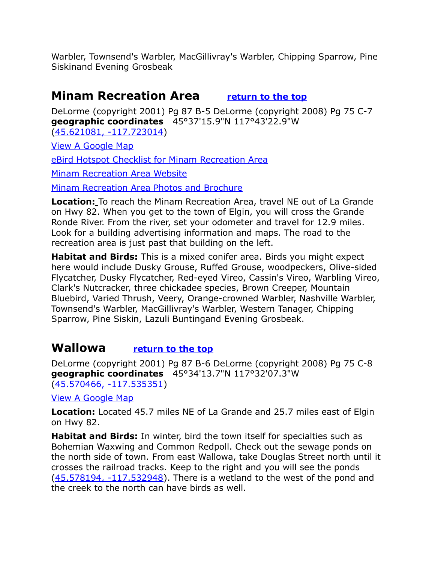Warbler, Townsend's Warbler, MacGillivray's Warbler, Chipping Sparrow, Pine Siskinand Evening Grosbeak

## <span id="page-4-1"></span>**Minam Recreation Area [return to the top](#page-0-1)**

DeLorme (copyright 2001) Pg 87 B-5 DeLorme (copyright 2008) Pg 75 C-7 **geographic coordinates** 45°37'15.9"N 117°43'22.9"W [\(45.621081, -117.723014\)](https://www.google.com/maps/place/45%C2%B037)

[View A Google Map](http://maps.google.com/maps/ms?hl=en&ie=UTF8&msa=0&msid=108036481085398338899.00047900f2296e905cbc0&ll=45.517895,-117.588043&spn=0.826563,2.108002&z=10)

[eBird Hotspot Checklist for Minam Recreation Area](http://ebird.org/ebird/hotspot/L2453458?yr=all&m=&rank=mrec)

[Minam Recreation Area Website](http://oregonstateparks.org/index.cfm?do=parkPage.dsp_parkPage&parkId=19)

[Minam Recreation Area Photos and Brochure](http://oregonstateparks.org/index.cfm?do=parkPage.dsp_parkPubs&parkId=19)

**Location:** To reach the Minam Recreation Area, travel NE out of La Grande on Hwy 82. When you get to the town of Elgin, you will cross the Grande Ronde River. From the river, set your odometer and travel for 12.9 miles. Look for a building advertising information and maps. The road to the recreation area is just past that building on the left.

**Habitat and Birds:** This is a mixed conifer area. Birds you might expect here would include Dusky Grouse, Ruffed Grouse, woodpeckers, Olive-sided Flycatcher, Dusky Flycatcher, Red-eyed Vireo, Cassin's Vireo, Warbling Vireo, Clark's Nutcracker, three chickadee species, Brown Creeper, Mountain Bluebird, Varied Thrush, Veery, Orange-crowned Warbler, Nashville Warbler, Townsend's Warbler, MacGillivray's Warbler, Western Tanager, Chipping Sparrow, Pine Siskin, Lazuli Buntingand Evening Grosbeak.

# <span id="page-4-0"></span>**Wallowa [return to the top](#page-0-1)**

DeLorme (copyright 2001) Pg 87 B-6 DeLorme (copyright 2008) Pg 75 C-8 **geographic coordinates** 45°34'13.7"N 117°32'07.3"W [\(45.570466, -117.535351\)](https://www.google.com/maps/place/45%C2%B034)

[View A Google Map](http://maps.google.com/maps/ms?hl=en&ie=UTF8&msa=0&msid=108036481085398338899.00047900f2296e905cbc0&ll=45.517895,-117.588043&spn=0.826563,2.108002&z=10)

**Location:** Located 45.7 miles NE of La Grande and 25.7 miles east of Elgin on Hwy 82.

**Habitat and Birds:** In winter, bird the town itself for specialties such as Bohemian Waxwing and Common Redpoll. Check out the sewage ponds on the north side of town. From east Wallowa, take Douglas Street north until it crosses the railroad tracks. Keep to the right and you will see the ponds [\(45.578194, -117.532948\)](https://www.google.com/maps/place/45%C2%B034). There is a wetland to the west of the pond and the creek to the north can have birds as well.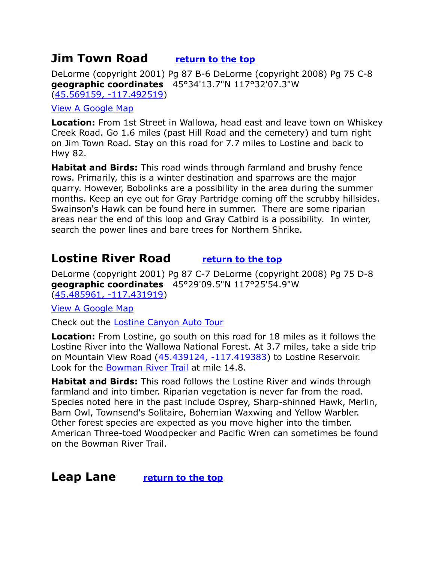## <span id="page-5-0"></span>**Jim Town Road [return to the top](#page-0-0)**

DeLorme (copyright 2001) Pg 87 B-6 DeLorme (copyright 2008) Pg 75 C-8 **geographic coordinates** 45°34'13.7"N 117°32'07.3"W [\(45.569159, -117.492519\)](https://www.google.com/maps/place/45%C2%B034)

#### [View A Google Map](http://maps.google.com/maps/ms?hl=en&ie=UTF8&msa=0&msid=108036481085398338899.00047900f2296e905cbc0&ll=45.517895,-117.588043&spn=0.826563,2.108002&z=10)

**Location:** From 1st Street in Wallowa, head east and leave town on Whiskey Creek Road. Go 1.6 miles (past Hill Road and the cemetery) and turn right on Jim Town Road. Stay on this road for 7.7 miles to Lostine and back to Hwy 82.

**Habitat and Birds:** This road winds through farmland and brushy fence rows. Primarily, this is a winter destination and sparrows are the major quarry. However, Bobolinks are a possibility in the area during the summer months. Keep an eye out for Gray Partridge coming off the scrubby hillsides. Swainson's Hawk can be found here in summer. There are some riparian areas near the end of this loop and Gray Catbird is a possibility. In winter, search the power lines and bare trees for Northern Shrike.

# <span id="page-5-2"></span>**Lostine River Road [return to the top](#page-0-0)**

DeLorme (copyright 2001) Pg 87 C-7 DeLorme (copyright 2008) Pg 75 D-8 **geographic coordinates** 45°29'09.5"N 117°25'54.9"W [\(45.485961, -117.431919\)](https://www.google.com/maps/place/45%C2%B029)

[View A Google Map](http://maps.google.com/maps/ms?hl=en&ie=UTF8&msa=0&msid=108036481085398338899.00047900f2296e905cbc0&ll=45.517895,-117.588043&spn=0.826563,2.108002&z=10)

Check out the [Lostine Canyon Auto Tour](http://www.ohranger.com/wallowa-whitman-natl-forest/poi/lostine-canyon-auto-tour)

**Location:** From Lostine, go south on this road for 18 miles as it follows the Lostine River into the Wallowa National Forest. At 3.7 miles, take a side trip on Mountain View Road [\(45.439124, -117.419383\)](https://www.google.com/maps/place/45%C2%B026) to Lostine Reservoir. Look for the [Bowman River Trail](http://www.hikingfromhere.com/hikes/10/bowman_trail.html) at mile 14.8.

**Habitat and Birds:** This road follows the Lostine River and winds through farmland and into timber. Riparian vegetation is never far from the road. Species noted here in the past include Osprey, Sharp-shinned Hawk, Merlin, Barn Owl, Townsend's Solitaire, Bohemian Waxwing and Yellow Warbler. Other forest species are expected as you move higher into the timber. American Three-toed Woodpecker and Pacific Wren can sometimes be found on the Bowman River Trail.

<span id="page-5-1"></span>**Leap Lane [return to the top](#page-0-0)**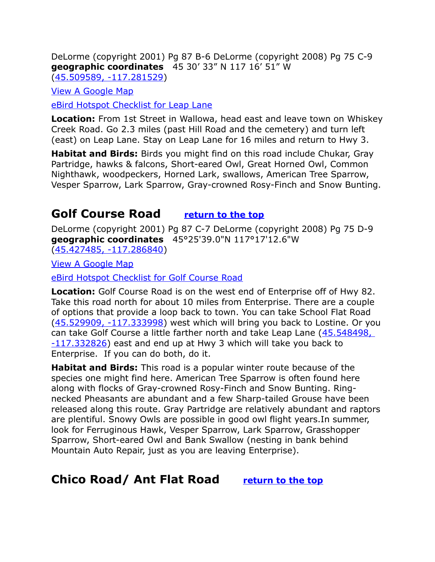DeLorme (copyright 2001) Pg 87 B-6 DeLorme (copyright 2008) Pg 75 C-9 **geographic coordinates** 45 30' 33" N 117 16' 51" W [\(45.509589, -117.281529\)](https://www.google.com/maps/place/45%C2%B030)

[View A Google Map](http://maps.google.com/maps/ms?hl=en&ie=UTF8&msa=0&msid=108036481085398338899.00047900f2296e905cbc0&ll=45.517895,-117.588043&spn=0.826563,2.108002&z=10)

[eBird Hotspot Checklist for Leap Lane](http://ebird.org/ebird/hotspot/L2081897?yr=all&m=&rank=mrec)

**Location:** From 1st Street in Wallowa, head east and leave town on Whiskey Creek Road. Go 2.3 miles (past Hill Road and the cemetery) and turn left (east) on Leap Lane. Stay on Leap Lane for 16 miles and return to Hwy 3.

**Habitat and Birds:** Birds you might find on this road include Chukar, Gray Partridge, hawks & falcons, Short-eared Owl, Great Horned Owl, Common Nighthawk, woodpeckers, Horned Lark, swallows, American Tree Sparrow, Vesper Sparrow, Lark Sparrow, Gray-crowned Rosy-Finch and Snow Bunting.

# <span id="page-6-0"></span>**Golf Course Road [return to the top](#page-0-0)**

DeLorme (copyright 2001) Pg 87 C-7 DeLorme (copyright 2008) Pg 75 D-9 **geographic coordinates** 45°25'39.0"N 117°17'12.6"W [\(45.427485, -117.286840\)](https://www.google.com/maps/place/45%C2%B025)

[View A Google Map](http://maps.google.com/maps/ms?hl=en&ie=UTF8&msa=0&msid=108036481085398338899.0004790113f2286a4c07e&ll=45.357453,-117.312012&spn=0.384065,1.056747&z=11)

[eBird Hotspot Checklist for Golf Course Road](http://ebird.org/ebird/hotspot/L2081900?yr=all&m=&rank=mrec)

**Location:** Golf Course Road is on the west end of Enterprise off of Hwy 82. Take this road north for about 10 miles from Enterprise. There are a couple of options that provide a loop back to town. You can take School Flat Road [\(45.529909, -117.333998\)](https://www.google.com/maps/place/45%C2%B031) west which will bring you back to Lostine. Or you can take Golf Course a little farther north and take Leap Lane [\(45.548498,](https://www.google.com/maps/place/45%C2%B032)  [-117.332826\)](https://www.google.com/maps/place/45%C2%B032) east and end up at Hwy 3 which will take you back to Enterprise. If you can do both, do it.

**Habitat and Birds:** This road is a popular winter route because of the species one might find here. American Tree Sparrow is often found here along with flocks of Gray-crowned Rosy-Finch and Snow Bunting. Ringnecked Pheasants are abundant and a few Sharp-tailed Grouse have been released along this route. Gray Partridge are relatively abundant and raptors are plentiful. Snowy Owls are possible in good owl flight years.In summer, look for Ferruginous Hawk, Vesper Sparrow, Lark Sparrow, Grasshopper Sparrow, Short-eared Owl and Bank Swallow (nesting in bank behind Mountain Auto Repair, just as you are leaving Enterprise).

# **Chico Road/ Ant Flat Road [return to the top](#page-0-0)**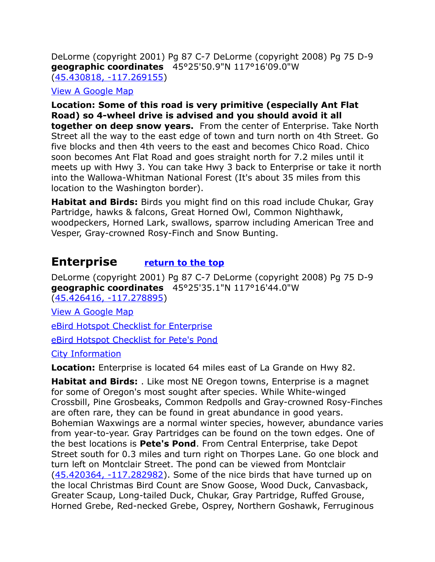DeLorme (copyright 2001) Pg 87 C-7 DeLorme (copyright 2008) Pg 75 D-9 **geographic coordinates** 45°25'50.9"N 117°16'09.0"W [\(45.430818, -117.269155\)](https://www.google.com/maps/place/45%C2%B025)

[View A Google Map](http://maps.google.com/maps/ms?hl=en&ie=UTF8&msa=0&msid=108036481085398338899.0004790113f2286a4c07e&ll=45.357453,-117.312012&spn=0.384065,1.056747&z=11)

**Location: Some of this road is very primitive (especially Ant Flat Road) so 4-wheel drive is advised and you should avoid it all together on deep snow years.** From the center of Enterprise. Take North Street all the way to the east edge of town and turn north on 4th Street. Go five blocks and then 4th veers to the east and becomes Chico Road. Chico soon becomes Ant Flat Road and goes straight north for 7.2 miles until it meets up with Hwy 3. You can take Hwy 3 back to Enterprise or take it north into the Wallowa-Whitman National Forest (It's about 35 miles from this location to the Washington border).

**Habitat and Birds:** Birds you might find on this road include Chukar, Gray Partridge, hawks & falcons, Great Horned Owl, Common Nighthawk, woodpeckers, Horned Lark, swallows, sparrow including American Tree and Vesper, Gray-crowned Rosy-Finch and Snow Bunting.

# <span id="page-7-0"></span>**Enterprise [return to the top](#page-0-0)**

DeLorme (copyright 2001) Pg 87 C-7 DeLorme (copyright 2008) Pg 75 D-9 **geographic coordinates** 45°25'35.1"N 117°16'44.0"W [\(45.426416, -117.278895\)](https://www.google.com/maps/place/45%C2%B025)

[View A Google Map](http://maps.google.com/maps/ms?hl=en&ie=UTF8&msa=0&msid=108036481085398338899.0004790113f2286a4c07e&ll=45.357453,-117.312012&spn=0.384065,1.056747&z=11)

[eBird Hotspot Checklist for Enterprise](http://ebird.org/ebird/hotspot/L2465548?yr=all&m=&rank=mrec)

[eBird Hotspot Checklist for Pete's Pond](http://ebird.org/ebird/hotspot/L996725?yr=all&m=&rank=mrec)

## [City Information](http://www.citytowninfo.com/places/oregon/enterprise)

**Location:** Enterprise is located 64 miles east of La Grande on Hwy 82.

**Habitat and Birds:** . Like most NE Oregon towns, Enterprise is a magnet for some of Oregon's most sought after species. While White-winged Crossbill, Pine Grosbeaks, Common Redpolls and Gray-crowned Rosy-Finches are often rare, they can be found in great abundance in good years. Bohemian Waxwings are a normal winter species, however, abundance varies from year-to-year. Gray Partridges can be found on the town edges. One of the best locations is **Pete's Pond**. From Central Enterprise, take Depot Street south for 0.3 miles and turn right on Thorpes Lane. Go one block and turn left on Montclair Street. The pond can be viewed from Montclair [\(45.420364, -117.282982\)](https://www.google.com/maps/place/45%C2%B025). Some of the nice birds that have turned up on the local Christmas Bird Count are Snow Goose, Wood Duck, Canvasback, Greater Scaup, Long-tailed Duck, Chukar, Gray Partridge, Ruffed Grouse, Horned Grebe, Red-necked Grebe, Osprey, Northern Goshawk, Ferruginous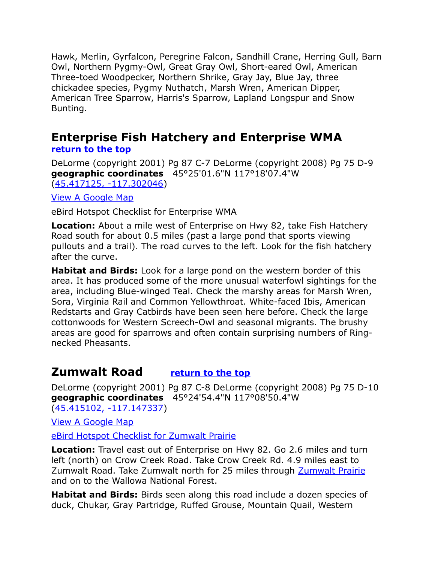Hawk, Merlin, Gyrfalcon, Peregrine Falcon, Sandhill Crane, Herring Gull, Barn Owl, Northern Pygmy-Owl, Great Gray Owl, Short-eared Owl, American Three-toed Woodpecker, Northern Shrike, Gray Jay, Blue Jay, three chickadee species, Pygmy Nuthatch, Marsh Wren, American Dipper, American Tree Sparrow, Harris's Sparrow, Lapland Longspur and Snow Bunting.

## <span id="page-8-0"></span>**Enterprise Fish Hatchery and Enterprise WMA [return to the top](#page-0-0)**

DeLorme (copyright 2001) Pg 87 C-7 DeLorme (copyright 2008) Pg 75 D-9 **geographic coordinates** 45°25'01.6"N 117°18'07.4"W [\(45.417125, -117.302046\)](https://www.google.com/maps/place/45%C2%B025)

[View A Google Map](http://maps.google.com/maps/ms?hl=en&ie=UTF8&msa=0&msid=108036481085398338899.0004790113f2286a4c07e&ll=45.357453,-117.312012&spn=0.384065,1.056747&z=11)

eBird Hotspot Checklist for Enterprise WMA

**Location:** About a mile west of Enterprise on Hwy 82, take Fish Hatchery Road south for about 0.5 miles (past a large pond that sports viewing pullouts and a trail). The road curves to the left. Look for the fish hatchery after the curve.

**Habitat and Birds:** Look for a large pond on the western border of this area. It has produced some of the more unusual waterfowl sightings for the area, including Blue-winged Teal. Check the marshy areas for Marsh Wren, Sora, Virginia Rail and Common Yellowthroat. White-faced Ibis, American Redstarts and Gray Catbirds have been seen here before. Check the large cottonwoods for Western Screech-Owl and seasonal migrants. The brushy areas are good for sparrows and often contain surprising numbers of Ringnecked Pheasants.

# <span id="page-8-1"></span>**Zumwalt Road [return to the top](#page-0-0)**

DeLorme (copyright 2001) Pg 87 C-8 DeLorme (copyright 2008) Pg 75 D-10 **geographic coordinates** 45°24'54.4"N 117°08'50.4"W

[\(45.415102, -117.147337\)](https://www.google.com/maps/place/45%C2%B024)

[View A Google Map](http://maps.google.com/maps/ms?hl=en&ie=UTF8&msa=0&ll=45.381572,-117.061043&spn=0.191468,0.528374&z=12&msid=108036481085398338899.000479026525806b467f8)

[eBird Hotspot Checklist for Zumwalt Prairie](http://ebird.org/ebird/hotspot/L666776?yr=all&m=&rank=mrec)

**Location:** Travel east out of Enterprise on Hwy 82. Go 2.6 miles and turn left (north) on Crow Creek Road. Take Crow Creek Rd. 4.9 miles east to Zumwalt Road. Take Zumwalt north for 25 miles through [Zumwalt Prairie](#page-16-0) and on to the Wallowa National Forest.

**Habitat and Birds:** Birds seen along this road include a dozen species of duck, Chukar, Gray Partridge, Ruffed Grouse, Mountain Quail, Western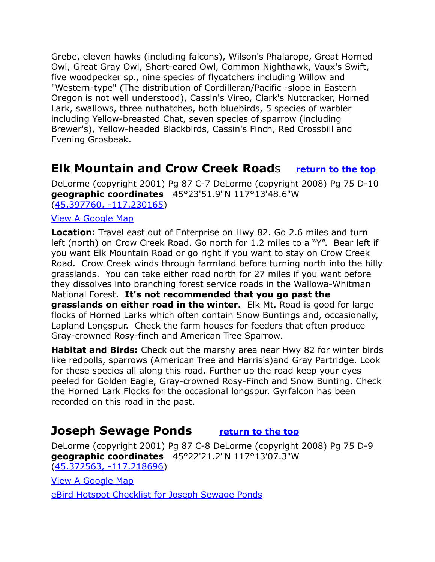Grebe, eleven hawks (including falcons), Wilson's Phalarope, Great Horned Owl, Great Gray Owl, Short-eared Owl, Common Nighthawk, Vaux's Swift, five woodpecker sp., nine species of flycatchers including Willow and "Western-type" (The distribution of Cordilleran/Pacific -slope in Eastern Oregon is not well understood), Cassin's Vireo, Clark's Nutcracker, Horned Lark, swallows, three nuthatches, both bluebirds, 5 species of warbler including Yellow-breasted Chat, seven species of sparrow (including Brewer's), Yellow-headed Blackbirds, Cassin's Finch, Red Crossbill and Evening Grosbeak.

# <span id="page-9-1"></span>**Elk Mountain and Crow Creek Road**s **[return to the top](#page-0-0)**

DeLorme (copyright 2001) Pg 87 C-7 DeLorme (copyright 2008) Pg 75 D-10 **geographic coordinates** 45°23'51.9"N 117°13'48.6"W [\(45.397760, -117.230165\)](https://www.google.com/maps/place/45%C2%B023)

#### [View A Google Map](http://maps.google.com/maps/ms?hl=en&ie=UTF8&msa=0&msid=108036481085398338899.0004790113f2286a4c07e&ll=45.357453,-117.312012&spn=0.384065,1.056747&z=11)

**Location:** Travel east out of Enterprise on Hwy 82. Go 2.6 miles and turn left (north) on Crow Creek Road. Go north for 1.2 miles to a "Y". Bear left if you want Elk Mountain Road or go right if you want to stay on Crow Creek Road. Crow Creek winds through farmland before turning north into the hilly grasslands. You can take either road north for 27 miles if you want before they dissolves into branching forest service roads in the Wallowa-Whitman National Forest. **It's not recommended that you go past the grasslands on either road in the winter.** Elk Mt. Road is good for large flocks of Horned Larks which often contain Snow Buntings and, occasionally, Lapland Longspur. Check the farm houses for feeders that often produce Gray-crowned Rosy-finch and American Tree Sparrow.

**Habitat and Birds:** Check out the marshy area near Hwy 82 for winter birds like redpolls, sparrows (American Tree and Harris's)and Gray Partridge. Look for these species all along this road. Further up the road keep your eyes peeled for Golden Eagle, Gray-crowned Rosy-Finch and Snow Bunting. Check the Horned Lark Flocks for the occasional longspur. Gyrfalcon has been recorded on this road in the past.

## <span id="page-9-0"></span>**Joseph Sewage Ponds [return to the top](#page-0-0)**

DeLorme (copyright 2001) Pg 87 C-8 DeLorme (copyright 2008) Pg 75 D-9 **geographic coordinates** 45°22'21.2"N 117°13'07.3"W [\(45.372563, -117.218696\)](https://www.google.com/maps/place/45%C2%B022)

[View A Google Map](http://maps.google.com/maps/ms?hl=en&ie=UTF8&msa=0&msid=108036481085398338899.0004790113f2286a4c07e&ll=45.357453,-117.312012&spn=0.384065,1.056747&z=11)

[eBird Hotspot Checklist for Joseph Sewage Ponds](http://ebird.org/ebird/hotspot/L1631017?yr=all&m=&rank=mrec)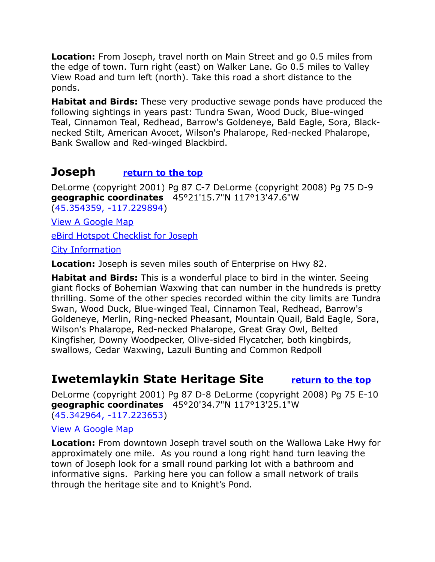**Location:** From Joseph, travel north on Main Street and go 0.5 miles from the edge of town. Turn right (east) on Walker Lane. Go 0.5 miles to Valley View Road and turn left (north). Take this road a short distance to the ponds.

**Habitat and Birds:** These very productive sewage ponds have produced the following sightings in years past: Tundra Swan, Wood Duck, Blue-winged Teal, Cinnamon Teal, Redhead, Barrow's Goldeneye, Bald Eagle, Sora, Blacknecked Stilt, American Avocet, Wilson's Phalarope, Red-necked Phalarope, Bank Swallow and Red-winged Blackbird.

# <span id="page-10-1"></span>**Joseph [return to the top](#page-0-0)**

DeLorme (copyright 2001) Pg 87 C-7 DeLorme (copyright 2008) Pg 75 D-9 **geographic coordinates** 45°21'15.7"N 117°13'47.6"W [\(45.354359, -117.229894\)](https://www.google.com/maps/place/45%C2%B021)

[View A Google Map](http://maps.google.com/maps/ms?hl=en&ie=UTF8&msa=0&msid=108036481085398338899.0004790113f2286a4c07e&ll=45.357453,-117.312012&spn=0.384065,1.056747&z=11)

[eBird Hotspot Checklist for Joseph](http://ebird.org/ebird/hotspot/L1918097?yr=all&m=&rank=mrec)

[City Information](http://www.citytowninfo.com/places/oregon/joseph)

**Location:** Joseph is seven miles south of Enterprise on Hwy 82.

**Habitat and Birds:** This is a wonderful place to bird in the winter. Seeing giant flocks of Bohemian Waxwing that can number in the hundreds is pretty thrilling. Some of the other species recorded within the city limits are Tundra Swan, Wood Duck, Blue-winged Teal, Cinnamon Teal, Redhead, Barrow's Goldeneye, Merlin, Ring-necked Pheasant, Mountain Quail, Bald Eagle, Sora, Wilson's Phalarope, Red-necked Phalarope, Great Gray Owl, Belted Kingfisher, Downy Woodpecker, Olive-sided Flycatcher, both kingbirds, swallows, Cedar Waxwing, Lazuli Bunting and Common Redpoll

# <span id="page-10-0"></span>**Iwetemlaykin State Heritage Site [return to the top](#page-0-0)**

DeLorme (copyright 2001) Pg 87 D-8 DeLorme (copyright 2008) Pg 75 E-10 **geographic coordinates** 45°20'34.7"N 117°13'25.1"W [\(45.342964, -117.223653\)](https://www.google.com/maps/place/45%C2%B020)

#### [View A Google Map](https://maps.google.com/maps/ms?msid=200542696373675968937.0004790113f2286a4c07e&msa=0&ll=45.343632,-117.222356&spn=0.003552,0.008256)

**Location:** From downtown Joseph travel south on the Wallowa Lake Hwy for approximately one mile. As you round a long right hand turn leaving the town of Joseph look for a small round parking lot with a bathroom and informative signs. Parking here you can follow a small network of trails through the heritage site and to Knight's Pond.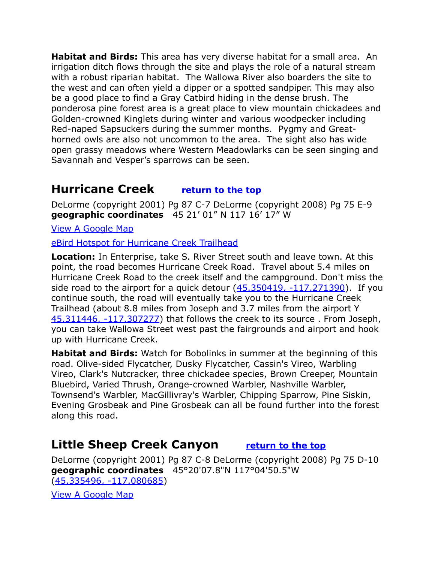**Habitat and Birds:** This area has very diverse habitat for a small area. An irrigation ditch flows through the site and plays the role of a natural stream with a robust riparian habitat. The Wallowa River also boarders the site to the west and can often yield a dipper or a spotted sandpiper. This may also be a good place to find a Gray Catbird hiding in the dense brush. The ponderosa pine forest area is a great place to view mountain chickadees and Golden-crowned Kinglets during winter and various woodpecker including Red-naped Sapsuckers during the summer months. Pygmy and Greathorned owls are also not uncommon to the area. The sight also has wide open grassy meadows where Western Meadowlarks can be seen singing and Savannah and Vesper's sparrows can be seen.

# <span id="page-11-1"></span>**Hurricane Creek [return to the top](#page-0-0)**

DeLorme (copyright 2001) Pg 87 C-7 DeLorme (copyright 2008) Pg 75 E-9 **geographic coordinates** 45 21' 01" N 117 16' 17" W

[View A Google Map](http://maps.google.com/maps/ms?hl=en&ie=UTF8&msa=0&msid=108036481085398338899.0004790113f2286a4c07e&ll=45.357453,-117.312012&spn=0.384065,1.056747&z=11)

[eBird Hotspot for Hurricane Creek Trailhead](http://ebird.org/ebird/hotspot/L2975633)

**Location:** In Enterprise, take S. River Street south and leave town. At this point, the road becomes Hurricane Creek Road. Travel about 5.4 miles on Hurricane Creek Road to the creek itself and the campground. Don't miss the side road to the airport for a quick detour  $(45.350419, -117.271390)$ . If you continue south, the road will eventually take you to the Hurricane Creek Trailhead (about 8.8 miles from Joseph and 3.7 miles from the airport Y [45.311446, -117.307277\)](https://www.google.com/maps/place/45%C2%B018) that follows the creek to its source . From Joseph, you can take Wallowa Street west past the fairgrounds and airport and hook up with Hurricane Creek.

**Habitat and Birds:** Watch for Bobolinks in summer at the beginning of this road. Olive-sided Flycatcher, Dusky Flycatcher, Cassin's Vireo, Warbling Vireo, Clark's Nutcracker, three chickadee species, Brown Creeper, Mountain Bluebird, Varied Thrush, Orange-crowned Warbler, Nashville Warbler, Townsend's Warbler, MacGillivray's Warbler, Chipping Sparrow, Pine Siskin, Evening Grosbeak and Pine Grosbeak can all be found further into the forest along this road.

# <span id="page-11-0"></span>**Little Sheep Creek Canyon [return to the top](#page-0-0)**

DeLorme (copyright 2001) Pg 87 C-8 DeLorme (copyright 2008) Pg 75 D-10 **geographic coordinates** 45°20'07.8"N 117°04'50.5"W [\(45.335496, -117.080685\)](https://www.google.com/maps/place/45%C2%B020)

[View A Google Map](http://maps.google.com/maps/ms?hl=en&ie=UTF8&msa=0&msid=108036481085398338899.00047901366c8f8357ef1&ll=45.420624,-117.034607&spn=0.767271,2.113495&z=10)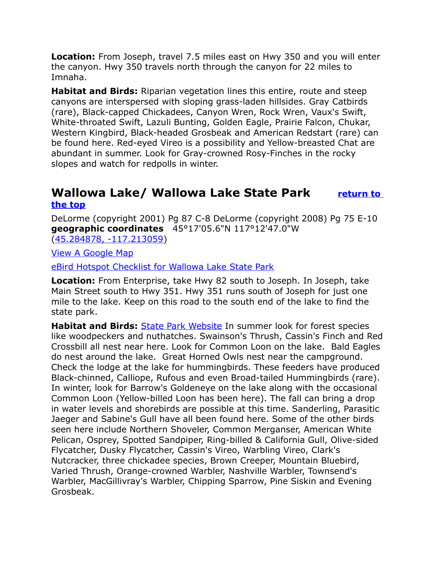**Location:** From Joseph, travel 7.5 miles east on Hwy 350 and you will enter the canyon. Hwy 350 travels north through the canyon for 22 miles to Imnaha.

**Habitat and Birds:** Riparian vegetation lines this entire, route and steep canyons are interspersed with sloping grass-laden hillsides. Gray Catbirds (rare), Black-capped Chickadees, Canyon Wren, Rock Wren, Vaux's Swift, White-throated Swift, Lazuli Bunting, Golden Eagle, Prairie Falcon, Chukar, Western Kingbird, Black-headed Grosbeak and American Redstart (rare) can be found here. Red-eyed Vireo is a possibility and Yellow-breasted Chat are abundant in summer. Look for Gray-crowned Rosy-Finches in the rocky slopes and watch for redpolls in winter.

## <span id="page-12-0"></span>**Wallowa Lake/ Wallowa Lake State Park [return to](#page-0-0)  [the top](#page-0-0)**

DeLorme (copyright 2001) Pg 87 C-8 DeLorme (copyright 2008) Pg 75 E-10 **geographic coordinates** 45°17'05.6"N 117°12'47.0"W [\(45.284878, -117.213059\)](https://www.google.com/maps/place/45%C2%B017)

[View A Google Map](http://maps.google.com/maps/ms?hl=en&ie=UTF8&msa=0&msid=108036481085398338899.0004790113f2286a4c07e&ll=45.357453,-117.312012&spn=0.384065,1.056747&z=11)

[eBird Hotspot Checklist for Wallowa Lake State Park](http://ebird.org/ebird/hotspot/L982736)

**Location:** From Enterprise, take Hwy 82 south to Joseph. In Joseph, take Main Street south to Hwy 351. Hwy 351 runs south of Joseph for just one mile to the lake. Keep on this road to the south end of the lake to find the state park.

**Habitat and Birds:** [State Park Website](http://oregonstateparks.org/index.cfm?do=parkPage.dsp_parkPage&parkId=20) In summer look for forest species like woodpeckers and nuthatches. Swainson's Thrush, Cassin's Finch and Red Crossbill all nest near here. Look for Common Loon on the lake. Bald Eagles do nest around the lake. Great Horned Owls nest near the campground. Check the lodge at the lake for hummingbirds. These feeders have produced Black-chinned, Calliope, Rufous and even Broad-tailed Hummingbirds (rare). In winter, look for Barrow's Goldeneye on the lake along with the occasional Common Loon (Yellow-billed Loon has been here). The fall can bring a drop in water levels and shorebirds are possible at this time. Sanderling, Parasitic Jaeger and Sabine's Gull have all been found here. Some of the other birds seen here include Northern Shoveler, Common Merganser, American White Pelican, Osprey, Spotted Sandpiper, Ring-billed & California Gull, Olive-sided Flycatcher, Dusky Flycatcher, Cassin's Vireo, Warbling Vireo, Clark's Nutcracker, three chickadee species, Brown Creeper, Mountain Bluebird, Varied Thrush, Orange-crowned Warbler, Nashville Warbler, Townsend's Warbler, MacGillivray's Warbler, Chipping Sparrow, Pine Siskin and Evening Grosbeak.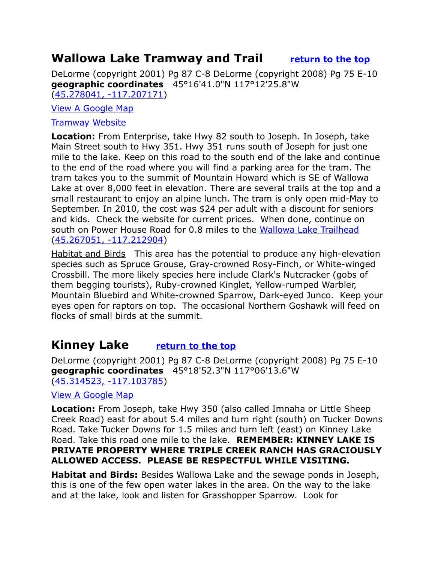# <span id="page-13-1"></span>**Wallowa Lake Tramway and Trail [return to the top](#page-0-0)**

DeLorme (copyright 2001) Pg 87 C-8 DeLorme (copyright 2008) Pg 75 E-10 **geographic coordinates** 45°16'41.0"N 117°12'25.8"W [\(45.278041, -117.207171\)](https://www.google.com/maps/place/45%C2%B016)

#### [View A Google Map](http://maps.google.com/maps/ms?hl=en&ie=UTF8&msa=0&msid=108036481085398338899.0004790113f2286a4c07e&ll=45.357453,-117.312012&spn=0.384065,1.056747&z=11)

#### [Tramway Website](http://wallowalaketramway.com/)

**Location:** From Enterprise, take Hwy 82 south to Joseph. In Joseph, take Main Street south to Hwy 351. Hwy 351 runs south of Joseph for just one mile to the lake. Keep on this road to the south end of the lake and continue to the end of the road where you will find a parking area for the tram. The tram takes you to the summit of Mountain Howard which is SE of Wallowa Lake at over 8,000 feet in elevation. There are several trails at the top and a small restaurant to enjoy an alpine lunch. The tram is only open mid-May to September. In 2010, the cost was \$24 per adult with a discount for seniors and kids. Check the website for current prices. When done, continue on south on Power House Road for 0.8 miles to the [Wallowa Lake Trailhead](http://www.wallowalake.net/index.php/recreation/hiking) [\(45.267051, -117.212904\)](https://www.google.com/maps/place/45%C2%B016)

Habitat and Birds This area has the potential to produce any high-elevation species such as Spruce Grouse, Gray-crowned Rosy-Finch, or White-winged Crossbill. The more likely species here include Clark's Nutcracker (gobs of them begging tourists), Ruby-crowned Kinglet, Yellow-rumped Warbler, Mountain Bluebird and White-crowned Sparrow, Dark-eyed Junco. Keep your eyes open for raptors on top. The occasional Northern Goshawk will feed on flocks of small birds at the summit.

## <span id="page-13-0"></span>**Kinney Lake [return to the top](#page-0-0)**

DeLorme (copyright 2001) Pg 87 C-8 DeLorme (copyright 2008) Pg 75 E-10 **geographic coordinates** 45°18'52.3"N 117°06'13.6"W [\(45.314523, -117.103785\)](https://www.google.com/maps/place/45%C2%B018)

#### [View A Google Map](http://maps.google.com/maps/ms?hl=en&ie=UTF8&msa=0&msid=108036481085398338899.00047901366c8f8357ef1&ll=45.420624,-117.034607&spn=0.767271,2.113495&z=10)

**Location:** From Joseph, take Hwy 350 (also called Imnaha or Little Sheep Creek Road) east for about 5.4 miles and turn right (south) on Tucker Downs Road. Take Tucker Downs for 1.5 miles and turn left (east) on Kinney Lake Road. Take this road one mile to the lake. **REMEMBER: KINNEY LAKE IS PRIVATE PROPERTY WHERE TRIPLE CREEK RANCH HAS GRACIOUSLY ALLOWED ACCESS. PLEASE BE RESPECTFUL WHILE VISITING.**

**Habitat and Birds:** Besides Wallowa Lake and the sewage ponds in Joseph, this is one of the few open water lakes in the area. On the way to the lake and at the lake, look and listen for Grasshopper Sparrow. Look for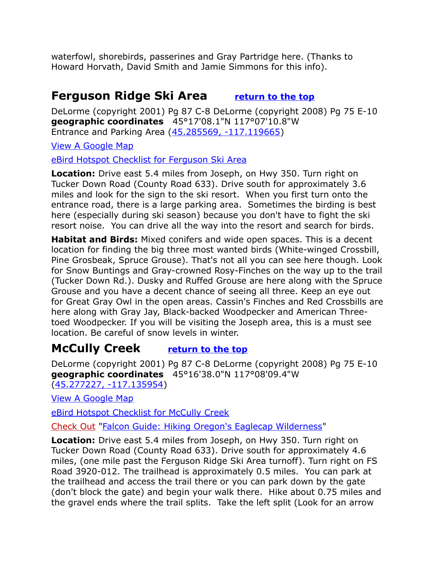waterfowl, shorebirds, passerines and Gray Partridge here. (Thanks to Howard Horvath, David Smith and Jamie Simmons for this info).

# <span id="page-14-0"></span>**Ferguson Ridge Ski Area [return to the top](#page-0-0)**

DeLorme (copyright 2001) Pg 87 C-8 DeLorme (copyright 2008) Pg 75 E-10 **geographic coordinates** 45°17'08.1"N 117°07'10.8"W Entrance and Parking Area [\(45.285569, -117.119665\)](https://www.google.com/maps/place/45%C2%B017)

[View A Google Map](http://maps.google.com/maps/ms?hl=en&ie=UTF8&msa=0&ll=45.284308,-117.023621&spn=0.191797,0.528374&z=12&msid=108036481085398338899.000479724da39bea20a5c)

 [eBird Hotspot Checklist for F](http://ebird.org/ebird/hotspot/L2471967?yr=all&m=&rank=mrec)erguson Ski Area

**Location:** Drive east 5.4 miles from Joseph, on Hwy 350. Turn right on Tucker Down Road (County Road 633). Drive south for approximately 3.6 miles and look for the sign to the ski resort. When you first turn onto the entrance road, there is a large parking area. Sometimes the birding is best here (especially during ski season) because you don't have to fight the ski resort noise. You can drive all the way into the resort and search for birds.

**Habitat and Birds:** Mixed conifers and wide open spaces. This is a decent location for finding the big three most wanted birds (White-winged Crossbill, Pine Grosbeak, Spruce Grouse). That's not all you can see here though. Look for Snow Buntings and Gray-crowned Rosy-Finches on the way up to the trail (Tucker Down Rd.). Dusky and Ruffed Grouse are here along with the Spruce Grouse and you have a decent chance of seeing all three. Keep an eye out for Great Gray Owl in the open areas. Cassin's Finches and Red Crossbills are here along with Gray Jay, Black-backed Woodpecker and American Threetoed Woodpecker. If you will be visiting the Joseph area, this is a must see location. Be careful of snow levels in winter.

# <span id="page-14-1"></span>**McCully Creek [return to the top](#page-0-0)**

DeLorme (copyright 2001) Pg 87 C-8 DeLorme (copyright 2008) Pg 75 E-10 **geographic coordinates** 45°16'38.0"N 117°08'09.4"W [\(45.277227, -117.135954\)](https://www.google.com/maps/place/45%C2%B016)

[View A Google Map](http://maps.google.com/maps/ms?hl=en&ie=UTF8&msa=0&ll=45.284308,-117.023621&spn=0.191797,0.528374&z=12&msid=108036481085398338899.000479724da39bea20a5c)

[eBird Hotspot Checklist for McCully Creek](http://ebird.org/ebird/hotspot/L2471967?yr=all&m=&rank=mrec)

Check Out ["Falcon Guide: Hiking Oregon's Eaglecap Wilderness"](http://www.amazon.com/Hiking-Oregons-Wilderness-Regional-Series/dp/0762722436)

**Location:** Drive east 5.4 miles from Joseph, on Hwy 350. Turn right on Tucker Down Road (County Road 633). Drive south for approximately 4.6 miles, (one mile past the Ferguson Ridge Ski Area turnoff). Turn right on FS Road 3920-012. The trailhead is approximately 0.5 miles. You can park at the trailhead and access the trail there or you can park down by the gate (don't block the gate) and begin your walk there. Hike about 0.75 miles and the gravel ends where the trail splits. Take the left split (Look for an arrow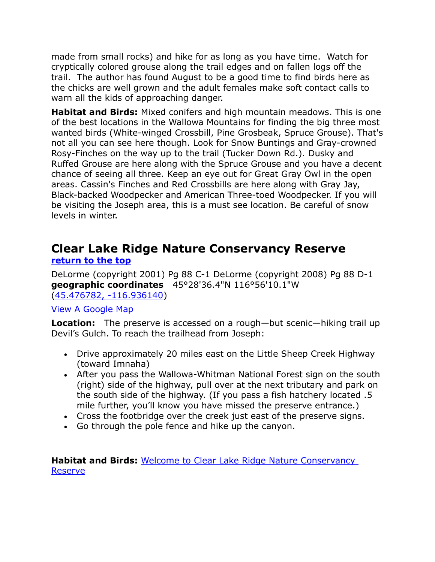made from small rocks) and hike for as long as you have time. Watch for cryptically colored grouse along the trail edges and on fallen logs off the trail. The author has found August to be a good time to find birds here as the chicks are well grown and the adult females make soft contact calls to warn all the kids of approaching danger.

**Habitat and Birds:** Mixed conifers and high mountain meadows. This is one of the best locations in the Wallowa Mountains for finding the big three most wanted birds (White-winged Crossbill, Pine Grosbeak, Spruce Grouse). That's not all you can see here though. Look for Snow Buntings and Gray-crowned Rosy-Finches on the way up to the trail (Tucker Down Rd.). Dusky and Ruffed Grouse are here along with the Spruce Grouse and you have a decent chance of seeing all three. Keep an eye out for Great Gray Owl in the open areas. Cassin's Finches and Red Crossbills are here along with Gray Jay, Black-backed Woodpecker and American Three-toed Woodpecker. If you will be visiting the Joseph area, this is a must see location. Be careful of snow levels in winter.

## <span id="page-15-0"></span>**Clear Lake Ridge Nature Conservancy Reserve [return to the top](#page-0-0)**

DeLorme (copyright 2001) Pg 88 C-1 DeLorme (copyright 2008) Pg 88 D-1 **geographic coordinates** 45°28'36.4"N 116°56'10.1"W [\(45.476782, -116.936140\)](https://www.google.com/maps/place/45%C2%B028)

#### [View A Google Map](http://maps.google.com/maps/ms?hl=en&ie=UTF8&msa=0&msid=108036481085398338899.00047901366c8f8357ef1&ll=45.420624,-117.034607&spn=0.767271,2.113495&z=10)

**Location:** The preserve is accessed on a rough—but scenic—hiking trail up Devil's Gulch. To reach the trailhead from Joseph:

- Drive approximately 20 miles east on the Little Sheep Creek Highway (toward Imnaha)
- After you pass the Wallowa-Whitman National Forest sign on the south (right) side of the highway, pull over at the next tributary and park on the south side of the highway. (If you pass a fish hatchery located .5 mile further, you'll know you have missed the preserve entrance.)
- Cross the footbridge over the creek just east of the preserve signs.
- Go through the pole fence and hike up the canyon.

**Habitat and Birds:** [Welcome to Clear Lake Ridge Nature Conservancy](http://www.nature.org/ourinitiatives/regions/northamerica/unitedstates/oregon/placesweprotect/clear-lake-ridge.xml)  **[Reserve](http://www.nature.org/ourinitiatives/regions/northamerica/unitedstates/oregon/placesweprotect/clear-lake-ridge.xml)**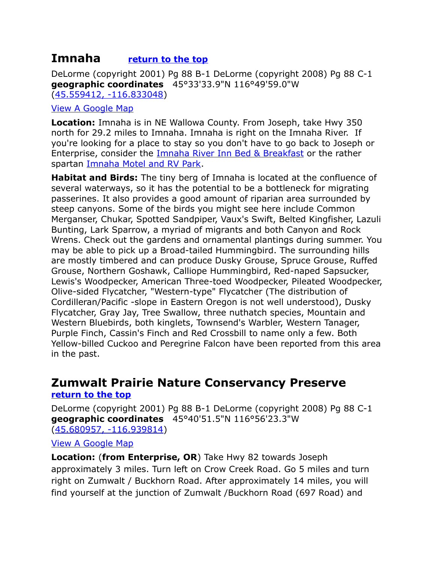## <span id="page-16-1"></span>**Imnaha [return to the top](#page-0-0)**

DeLorme (copyright 2001) Pg 88 B-1 DeLorme (copyright 2008) Pg 88 C-1 **geographic coordinates** 45°33'33.9"N 116°49'59.0"W [\(45.559412, -116.833048\)](https://www.google.com/maps/place/45%C2%B033)

#### [View A Google Map](http://maps.google.com/maps/ms?hl=en&ie=UTF8&msa=0&msid=108036481085398338899.00047901366c8f8357ef1&ll=45.420624,-117.034607&spn=0.767271,2.113495&z=10)

**Location:** Imnaha is in NE Wallowa County. From Joseph, take Hwy 350 north for 29.2 miles to Imnaha. Imnaha is right on the Imnaha River. If you're looking for a place to stay so you don't have to go back to Joseph or Enterprise, consider the [Imnaha River Inn Bed & Breakfast](http://www.imnahariverinn.com/) or the rather spartan [Imnaha Motel and RV Park.](http://www.wallowacountychamber.com/list/member/imnaha-motel-rv-park-imnaha-1710)

**Habitat and Birds:** The tiny berg of Imnaha is located at the confluence of several waterways, so it has the potential to be a bottleneck for migrating passerines. It also provides a good amount of riparian area surrounded by steep canyons. Some of the birds you might see here include Common Merganser, Chukar, Spotted Sandpiper, Vaux's Swift, Belted Kingfisher, Lazuli Bunting, Lark Sparrow, a myriad of migrants and both Canyon and Rock Wrens. Check out the gardens and ornamental plantings during summer. You may be able to pick up a Broad-tailed Hummingbird. The surrounding hills are mostly timbered and can produce Dusky Grouse, Spruce Grouse, Ruffed Grouse, Northern Goshawk, Calliope Hummingbird, Red-naped Sapsucker, Lewis's Woodpecker, American Three-toed Woodpecker, Pileated Woodpecker, Olive-sided Flycatcher, "Western-type" Flycatcher (The distribution of Cordilleran/Pacific -slope in Eastern Oregon is not well understood), Dusky Flycatcher, Gray Jay, Tree Swallow, three nuthatch species, Mountain and Western Bluebirds, both kinglets, Townsend's Warbler, Western Tanager, Purple Finch, Cassin's Finch and Red Crossbill to name only a few. Both Yellow-billed Cuckoo and Peregrine Falcon have been reported from this area in the past.

## <span id="page-16-0"></span>**Zumwalt Prairie Nature Conservancy Preserve [return to the top](#page-0-0)**

DeLorme (copyright 2001) Pg 88 B-1 DeLorme (copyright 2008) Pg 88 C-1 **geographic coordinates** 45°40'51.5"N 116°56'23.3"W [\(45.680957, -116.939814\)](https://www.google.com/maps/place/45%C2%B040)

#### [View A Google Map](http://maps.google.com/maps/ms?hl=en&ie=UTF8&msa=0&msid=108036481085398338899.00047901366c8f8357ef1&ll=45.420624,-117.034607&spn=0.767271,2.113495&z=10)

**Location:** (**from Enterprise, OR**) Take Hwy 82 towards Joseph approximately 3 miles. Turn left on Crow Creek Road. Go 5 miles and turn right on Zumwalt / Buckhorn Road. After approximately 14 miles, you will find yourself at the junction of Zumwalt /Buckhorn Road (697 Road) and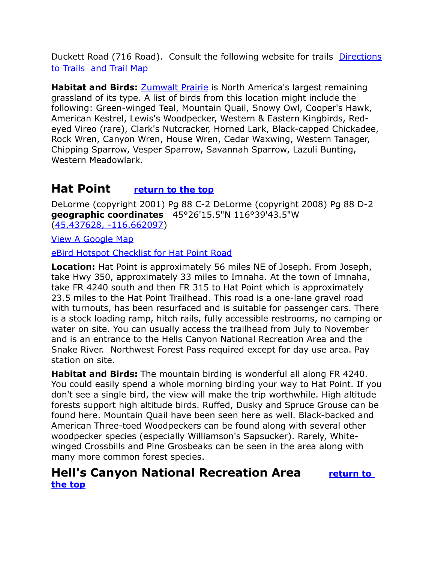Duckett Road (716 Road). Consult the following website for trails [Directions](http://www.nature.org/ourinitiatives/regions/northamerica/unitedstates/oregon/placesweprotect/zumwalt-prairie-trails-tour-map-2013.pdf) [to Trails and Trail Map](http://www.nature.org/ourinitiatives/regions/northamerica/unitedstates/oregon/placesweprotect/zumwalt-prairie-trails-tour-map-2013.pdf)

**Habitat and Birds:** [Zumwalt Prairie](https://en.wikipedia.org/wiki/Zumwalt_Prairie) is North America's largest remaining grassland of its type. A list of birds from this location might include the following: Green-winged Teal, Mountain Quail, Snowy Owl, Cooper's Hawk, American Kestrel, Lewis's Woodpecker, Western & Eastern Kingbirds, Redeyed Vireo (rare), Clark's Nutcracker, Horned Lark, Black-capped Chickadee, Rock Wren, Canyon Wren, House Wren, Cedar Waxwing, Western Tanager, Chipping Sparrow, Vesper Sparrow, Savannah Sparrow, Lazuli Bunting, Western Meadowlark.

# <span id="page-17-0"></span>**Hat Point [return to the top](#page-0-0)**

DeLorme (copyright 2001) Pg 88 C-2 DeLorme (copyright 2008) Pg 88 D-2 **geographic coordinates** 45°26'15.5"N 116°39'43.5"W [\(45.437628, -116.662097\)](https://www.google.com/maps/place/45%C2%B026)

[View A Google Map](http://maps.google.com/maps/ms?hl=en&ie=UTF8&msa=0&msid=108036481085398338899.00047901366c8f8357ef1&ll=45.420624,-117.034607&spn=0.767271,2.113495&z=10)

[eBird Hotspot Checklist for Hat Point Road](http://ebird.org/ebird/hotspot/L2799991?yr=all&m=&rank=mrec)

**Location:** Hat Point is approximately 56 miles NE of Joseph. From Joseph, take Hwy 350, approximately 33 miles to Imnaha. At the town of Imnaha, take FR 4240 south and then FR 315 to Hat Point which is approximately 23.5 miles to the Hat Point Trailhead. This road is a one-lane gravel road with turnouts, has been resurfaced and is suitable for passenger cars. There is a stock loading ramp, hitch rails, fully accessible restrooms, no camping or water on site. You can usually access the trailhead from July to November and is an entrance to the Hells Canyon National Recreation Area and the Snake River. Northwest Forest Pass required except for day use area. Pay station on site.

**Habitat and Birds:** The mountain birding is wonderful all along FR 4240. You could easily spend a whole morning birding your way to Hat Point. If you don't see a single bird, the view will make the trip worthwhile. High altitude forests support high altitude birds. Ruffed, Dusky and Spruce Grouse can be found here. Mountain Quail have been seen here as well. Black-backed and American Three-toed Woodpeckers can be found along with several other woodpecker species (especially Williamson's Sapsucker). Rarely, Whitewinged Crossbills and Pine Grosbeaks can be seen in the area along with many more common forest species.

## <span id="page-17-1"></span>**Hell's Canyon National Recreation Area [return to](#page-0-0)  [the top](#page-0-0)**